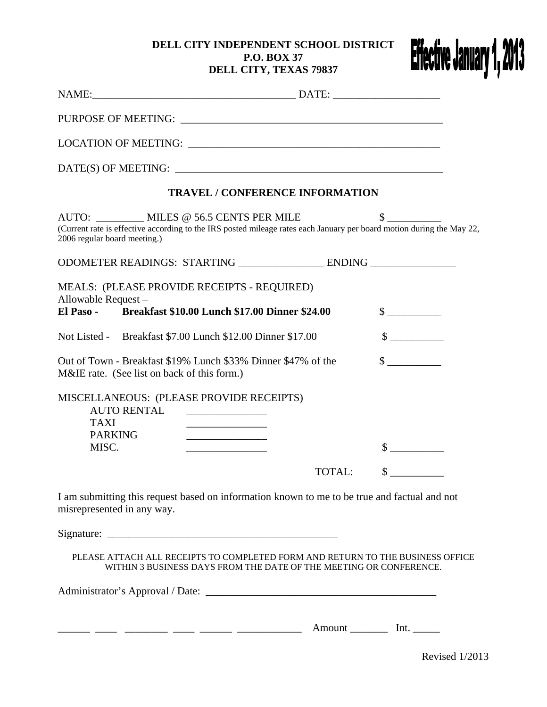## **DELL CITY INDEPENDENT SCHOOL DISTRICT P.O. BOX 37 DELL CITY, TEXAS 79837**



|                                                                                                              | <b>TRAVEL / CONFERENCE INFORMATION</b>                                                                                                                                |                             |  |  |  |
|--------------------------------------------------------------------------------------------------------------|-----------------------------------------------------------------------------------------------------------------------------------------------------------------------|-----------------------------|--|--|--|
| 2006 regular board meeting.)                                                                                 | AUTO: __________ MILES @ 56.5 CENTS PER MILE<br>(Current rate is effective according to the IRS posted mileage rates each January per board motion during the May 22, | $\frac{\text{S}}{\text{S}}$ |  |  |  |
| ODOMETER READINGS: STARTING __________________ ENDING ______________                                         |                                                                                                                                                                       |                             |  |  |  |
| Allowable Request-                                                                                           | MEALS: (PLEASE PROVIDE RECEIPTS - REQUIRED)<br>El Paso - Breakfast \$10.00 Lunch \$17.00 Dinner \$24.00                                                               | $\frac{\text{S}}{\text{S}}$ |  |  |  |
|                                                                                                              | Not Listed - Breakfast \$7.00 Lunch \$12.00 Dinner \$17.00                                                                                                            | $\sim$                      |  |  |  |
| Out of Town - Breakfast \$19% Lunch \$33% Dinner \$47% of the<br>M&IE rate. (See list on back of this form.) | $\sim$                                                                                                                                                                |                             |  |  |  |
| <b>AUTO RENTAL</b><br><b>TAXI</b><br><b>PARKING</b>                                                          | MISCELLANEOUS: (PLEASE PROVIDE RECEIPTS)                                                                                                                              |                             |  |  |  |
| MISC.                                                                                                        |                                                                                                                                                                       | $\mathcal{S}$               |  |  |  |
|                                                                                                              | TOTAL:                                                                                                                                                                | $\mathbb{S}$                |  |  |  |
| misrepresented in any way.                                                                                   | I am submitting this request based on information known to me to be true and factual and not                                                                          |                             |  |  |  |
|                                                                                                              |                                                                                                                                                                       |                             |  |  |  |
|                                                                                                              | PLEASE ATTACH ALL RECEIPTS TO COMPLETED FORM AND RETURN TO THE BUSINESS OFFICE<br>WITHIN 3 BUSINESS DAYS FROM THE DATE OF THE MEETING OR CONFERENCE.                  |                             |  |  |  |
|                                                                                                              |                                                                                                                                                                       |                             |  |  |  |

\_\_\_\_\_\_ \_\_\_\_ \_\_\_\_\_\_\_\_ \_\_\_\_ \_\_\_\_\_\_ \_\_\_\_\_\_\_\_\_\_\_\_ Amount \_\_\_\_\_\_\_ Int. \_\_\_\_\_

Revised 1/2013